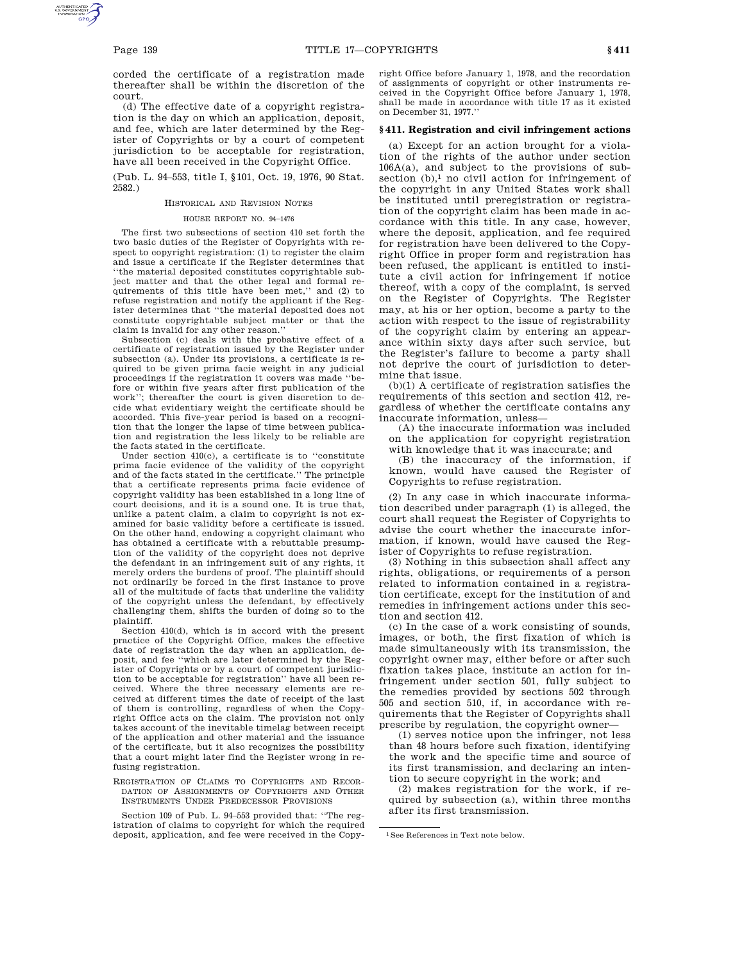corded the certificate of a registration made thereafter shall be within the discretion of the court.

(d) The effective date of a copyright registration is the day on which an application, deposit, and fee, which are later determined by the Register of Copyrights or by a court of competent jurisdiction to be acceptable for registration, have all been received in the Copyright Office.

(Pub. L. 94–553, title I, §101, Oct. 19, 1976, 90 Stat. 2582.)

#### HISTORICAL AND REVISION NOTES

# HOUSE REPORT NO. 94–1476

The first two subsections of section 410 set forth the two basic duties of the Register of Copyrights with respect to copyright registration: (1) to register the claim and issue a certificate if the Register determines that ''the material deposited constitutes copyrightable subject matter and that the other legal and formal requirements of this title have been met,'' and (2) to refuse registration and notify the applicant if the Register determines that ''the material deposited does not constitute copyrightable subject matter or that the claim is invalid for any other reason.''

Subsection (c) deals with the probative effect of a certificate of registration issued by the Register under subsection (a). Under its provisions, a certificate is required to be given prima facie weight in any judicial proceedings if the registration it covers was made ''before or within five years after first publication of the work''; thereafter the court is given discretion to decide what evidentiary weight the certificate should be accorded. This five-year period is based on a recognition that the longer the lapse of time between publication and registration the less likely to be reliable are the facts stated in the certificate.

Under section 410(c), a certificate is to ''constitute prima facie evidence of the validity of the copyright and of the facts stated in the certificate.'' The principle that a certificate represents prima facie evidence of copyright validity has been established in a long line of court decisions, and it is a sound one. It is true that, unlike a patent claim, a claim to copyright is not examined for basic validity before a certificate is issued. On the other hand, endowing a copyright claimant who has obtained a certificate with a rebuttable presumption of the validity of the copyright does not deprive the defendant in an infringement suit of any rights, it merely orders the burdens of proof. The plaintiff should not ordinarily be forced in the first instance to prove all of the multitude of facts that underline the validity of the copyright unless the defendant, by effectively challenging them, shifts the burden of doing so to the plaintiff.

Section 410(d), which is in accord with the present practice of the Copyright Office, makes the effective date of registration the day when an application, deposit, and fee ''which are later determined by the Register of Copyrights or by a court of competent jurisdiction to be acceptable for registration'' have all been received. Where the three necessary elements are received at different times the date of receipt of the last of them is controlling, regardless of when the Copyright Office acts on the claim. The provision not only takes account of the inevitable timelag between receipt of the application and other material and the issuance of the certificate, but it also recognizes the possibility that a court might later find the Register wrong in refusing registration.

REGISTRATION OF CLAIMS TO COPYRIGHTS AND RECOR-DATION OF ASSIGNMENTS OF COPYRIGHTS AND OTHER INSTRUMENTS UNDER PREDECESSOR PROVISIONS

Section 109 of Pub. L. 94–553 provided that: ''The registration of claims to copyright for which the required deposit, application, and fee were received in the Copyright Office before January 1, 1978, and the recordation of assignments of copyright or other instruments received in the Copyright Office before January 1, 1978, shall be made in accordance with title 17 as it existed on December 31, 1977.''

### **§ 411. Registration and civil infringement actions**

(a) Except for an action brought for a violation of the rights of the author under section 106A(a), and subject to the provisions of subsection (b),<sup>1</sup> no civil action for infringement of the copyright in any United States work shall be instituted until preregistration or registration of the copyright claim has been made in accordance with this title. In any case, however, where the deposit, application, and fee required for registration have been delivered to the Copyright Office in proper form and registration has been refused, the applicant is entitled to institute a civil action for infringement if notice thereof, with a copy of the complaint, is served on the Register of Copyrights. The Register may, at his or her option, become a party to the action with respect to the issue of registrability of the copyright claim by entering an appearance within sixty days after such service, but the Register's failure to become a party shall not deprive the court of jurisdiction to determine that issue.

(b)(1) A certificate of registration satisfies the requirements of this section and section 412, regardless of whether the certificate contains any inaccurate information, unless—

(A) the inaccurate information was included on the application for copyright registration with knowledge that it was inaccurate; and

(B) the inaccuracy of the information, if known, would have caused the Register of Copyrights to refuse registration.

(2) In any case in which inaccurate information described under paragraph (1) is alleged, the court shall request the Register of Copyrights to advise the court whether the inaccurate information, if known, would have caused the Register of Copyrights to refuse registration.

(3) Nothing in this subsection shall affect any rights, obligations, or requirements of a person related to information contained in a registration certificate, except for the institution of and remedies in infringement actions under this section and section 412.

(c) In the case of a work consisting of sounds, images, or both, the first fixation of which is made simultaneously with its transmission, the copyright owner may, either before or after such fixation takes place, institute an action for infringement under section 501, fully subject to the remedies provided by sections 502 through 505 and section 510, if, in accordance with requirements that the Register of Copyrights shall prescribe by regulation, the copyright owner—

(1) serves notice upon the infringer, not less than 48 hours before such fixation, identifying the work and the specific time and source of its first transmission, and declaring an intention to secure copyright in the work; and

(2) makes registration for the work, if required by subsection (a), within three months after its first transmission.

<sup>1</sup>See References in Text note below.